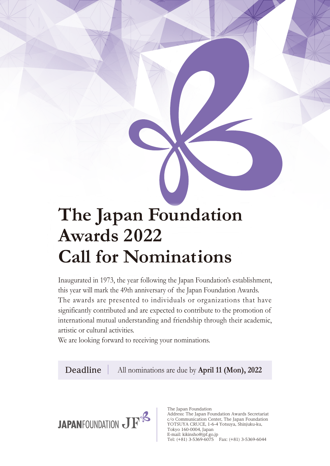# **The Japan Foundation Awards 2022 Call for Nominations**

Inaugurated in 1973, the year following the Japan Foundation's establishment, this year will mark the 49th anniversary of the Japan Foundation Awards. The awards are presented to individuals or organizations that have significantly contributed and are expected to contribute to the promotion of international mutual understanding and friendship through their academic, artistic or cultural activities.

We are looking forward to receiving your nominations.

All nominations are due by **April 11 (Mon), 2022 Deadline**



The Japan Foundation Address: The Japan Foundation Awards Secretariat c/o Communication Center, The Japan Foundation YOTSUYA CRUCE, 1-6-4 Yotsuya, Shinjuku-ku, Tokyo 160-0004, Japan E-mail: kikinsho@jpf.go.jp Tel: (+81) 3-5369-6075 Fax: (+81) 3-5369-6044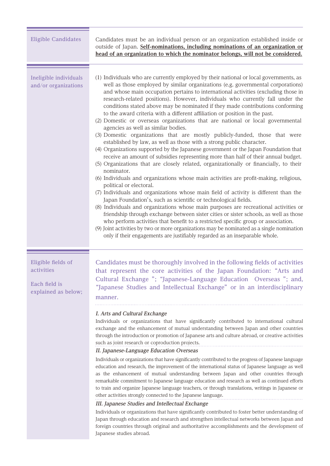| <b>Eligible Candidates</b>                                               | Candidates must be an individual person or an organization established inside or<br>outside of Japan. Self-nominations, including nominations of an organization or<br>head of an organization to which the nominator belongs, will not be considered.                                                                                                                                                                                                                                                                                                                                                                                                                                                                                                                                                                                                                                                                                                                                                                                                                                                                                                                                                                                                                                                                                                                                                                                                                                                                                                                                                                                                                                                                                                                                                                   |
|--------------------------------------------------------------------------|--------------------------------------------------------------------------------------------------------------------------------------------------------------------------------------------------------------------------------------------------------------------------------------------------------------------------------------------------------------------------------------------------------------------------------------------------------------------------------------------------------------------------------------------------------------------------------------------------------------------------------------------------------------------------------------------------------------------------------------------------------------------------------------------------------------------------------------------------------------------------------------------------------------------------------------------------------------------------------------------------------------------------------------------------------------------------------------------------------------------------------------------------------------------------------------------------------------------------------------------------------------------------------------------------------------------------------------------------------------------------------------------------------------------------------------------------------------------------------------------------------------------------------------------------------------------------------------------------------------------------------------------------------------------------------------------------------------------------------------------------------------------------------------------------------------------------|
| Ineligible individuals<br>and/or organizations                           | (1) Individuals who are currently employed by their national or local governments, as<br>well as those employed by similar organizations (e.g. governmental corporations)<br>and whose main occupation pertains to international activities (excluding those in<br>research-related positions). However, individuals who currently fall under the<br>conditions stated above may be nominated if they made contributions conforming<br>to the award criteria with a different affiliation or position in the past.<br>(2) Domestic or overseas organizations that are national or local governmental<br>agencies as well as similar bodies.<br>(3) Domestic organizations that are mostly publicly-funded, those that were<br>established by law, as well as those with a strong public character.<br>(4) Organizations supported by the Japanese government or the Japan Foundation that<br>receive an amount of subsidies representing more than half of their annual budget.<br>(5) Organizations that are closely related, organizationally or financially, to their<br>nominator.<br>(6) Individuals and organizations whose main activities are profit-making, religious,<br>political or electoral.<br>(7) Individuals and organizations whose main field of activity is different than the<br>Japan Foundation's, such as scientific or technological fields.<br>(8) Individuals and organizations whose main purposes are recreational activities or<br>friendship through exchange between sister cities or sister schools, as well as those<br>who perform activities that benefit to a restricted specific group or association.<br>(9) Joint activities by two or more organizations may be nominated as a single nomination<br>only if their engagements are justifiably regarded as an inseparable whole. |
| Eligible fields of<br>activities<br>Each field is<br>explained as below; | Candidates must be thoroughly involved in the following fields of activities<br>that represent the core activities of the Japan Foundation: "Arts and<br>Cultural Exchange "; "Japanese-Language Education Overseas "; and,<br>"Japanese Studies and Intellectual Exchange" or in an interdisciplinary<br>manner.<br>I. Arts and Cultural Exchange<br>Individuals or organizations that have significantly contributed to international cultural<br>exchange and the enhancement of mutual understanding between Japan and other countries<br>through the introduction or promotion of Japanese arts and culture abroad, or creative activities<br>such as joint research or coproduction projects.<br>II. Japanese-Language Education Overseas<br>Individuals or organizations that have significantly contributed to the progress of Japanese language<br>education and research, the improvement of the international status of Japanese language as well<br>as the enhancement of mutual understanding between Japan and other countries through<br>remarkable commitment to Japanese language education and research as well as continued efforts<br>to train and organize Japanese language teachers, or through translations, writings in Japanese or<br>other activities strongly connected to the Japanese language.<br>III. Japanese Studies and Intellectual Exchange<br>Individuals or organizations that have significantly contributed to foster better understanding of<br>Japan through education and research and strengthen intellectual networks between Japan and<br>foreign countries through original and authoritative accomplishments and the development of<br>Japanese studies abroad.                                                                                                         |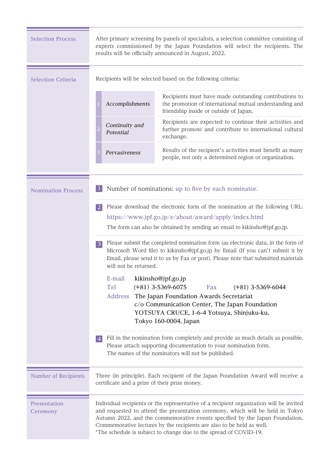| <b>Selection Process</b>    | results will be officially announced in August, 2022.                                                                                                                                                                                                                                                                                                                                                   | After primary screening by panels of specialists, a selection committee consisting of<br>experts commissioned by the Japan Foundation will select the recipients. The                                    |  |  |  |  |
|-----------------------------|---------------------------------------------------------------------------------------------------------------------------------------------------------------------------------------------------------------------------------------------------------------------------------------------------------------------------------------------------------------------------------------------------------|----------------------------------------------------------------------------------------------------------------------------------------------------------------------------------------------------------|--|--|--|--|
| <b>Selection Criteria</b>   | Recipients will be selected based on the following criteria:                                                                                                                                                                                                                                                                                                                                            |                                                                                                                                                                                                          |  |  |  |  |
|                             | Accomplishments                                                                                                                                                                                                                                                                                                                                                                                         | Recipients must have made outstanding contributions to<br>the promotion of international mutual understanding and<br>friendship inside or outside of Japan.                                              |  |  |  |  |
|                             | Continuity and<br>Potential                                                                                                                                                                                                                                                                                                                                                                             | Recipients are expected to continue their activities and<br>further promote and contribute to international cultural<br>exchange.                                                                        |  |  |  |  |
|                             | Pervasiveness                                                                                                                                                                                                                                                                                                                                                                                           | Results of the recipient's activities must benefit as many<br>people, not only a determined region or organization.                                                                                      |  |  |  |  |
| <b>Nomination Process</b>   | Number of nominations: up to five by each nominator.                                                                                                                                                                                                                                                                                                                                                    |                                                                                                                                                                                                          |  |  |  |  |
|                             | Please download the electronic form of the nomination at the following URL:<br><sup>2</sup>                                                                                                                                                                                                                                                                                                             |                                                                                                                                                                                                          |  |  |  |  |
|                             |                                                                                                                                                                                                                                                                                                                                                                                                         | https://www.jpf.go.jp/e/about/award/apply/index.html                                                                                                                                                     |  |  |  |  |
|                             | The form can also be obtained by sending an email to kikinsho@jpf.go.jp.<br>Please submit the completed nomination form (as electronic data, in the form of<br>$\overline{3}$<br>Microsoft Word file) to kikinsho@jpf.go.jp by Email (If you can't submit it by<br>Email, please send it to us by Fax or post). Please note that submitted materials<br>will not be returned.                           |                                                                                                                                                                                                          |  |  |  |  |
|                             |                                                                                                                                                                                                                                                                                                                                                                                                         |                                                                                                                                                                                                          |  |  |  |  |
|                             | E-mail kikinsho@jpf.go.jp                                                                                                                                                                                                                                                                                                                                                                               |                                                                                                                                                                                                          |  |  |  |  |
|                             | Tel<br>$(+81)$ 3-5369-6075                                                                                                                                                                                                                                                                                                                                                                              | Fax<br>$(+81)$ 3-5369-6044                                                                                                                                                                               |  |  |  |  |
|                             | <b>Address</b>                                                                                                                                                                                                                                                                                                                                                                                          | The Japan Foundation Awards Secretariat<br>c/o Communication Center, The Japan Foundation<br>YOTSUYA CRUCE, 1-6-4 Yotsuya, Shinjuku-ku,<br>Tokyo 160-0004, Japan                                         |  |  |  |  |
|                             | 4                                                                                                                                                                                                                                                                                                                                                                                                       | Fill in the nomination form completely and provide as much details as possible.<br>Please attach supporting documentation to your nomination form.<br>The names of the nominators will not be published. |  |  |  |  |
| <b>Number of Recipients</b> | Three (in principle). Each recipient of the Japan Foundation Award will receive a<br>certificate and a prize of their prize money.                                                                                                                                                                                                                                                                      |                                                                                                                                                                                                          |  |  |  |  |
| Presentation<br>Ceremony    | Individual recipients or the representative of a recipient organization will be invited<br>and requested to attend the presentation ceremony, which will be held in Tokyo<br>Autumn 2022, and the commemorative events specified by the Japan Foundation.<br>Commemorative lectures by the recipients are also to be held as well.<br>*The schedule is subject to change due to the spread of COVID-19. |                                                                                                                                                                                                          |  |  |  |  |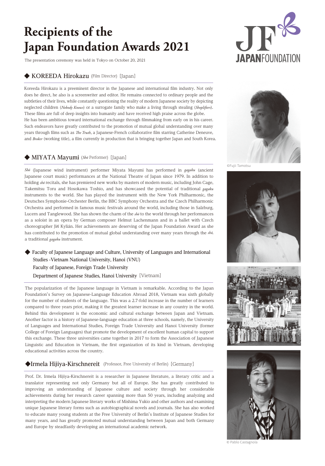## **Recipients of the Japan Foundation Awards 2021**

The presentation ceremony was held in Tokyo on October 20, 2021

#### **◆ KOREEDA Hirokazu** (Film Director) [Japan]

Koreeda Hirokazu is a preeminent director in the Japanese and international film industry. Not only does he direct, he also is a screenwriter and editor. He remains connected to ordinary people and the subtleties of their lives, while constantly questioning the reality of modern Japanese society by depicting neglected children (*Nobody Knows*) or a surrogate family who make a living through stealing (*Shoplifters*). These films are full of deep insights into humanity and have received high praise across the globe. He has been ambitious toward international exchange through filmmaking from early on in his career.

Such endeavors have greatly contributed to the promotion of mutual global understanding over many years through films such as *The Truth*, a Japanese-French collaborative film starring Catherine Deneuve, and *Broker* (working title), a film currently in production that is bringing together Japan and South Korea.

#### **◆ MIYATA Mayumi** (*Shõ* Performer) [Japan]

*Shō* (Japanese wind instrument) performer Miyata Mayumi has performed in *gagaku* (ancient Japanese court music) performances at the National Theatre of Japan since 1979. In addition to holding *shō* recitals, she has premiered new works by masters of modern music, including John Cage, Takemitsu Toru and Hosokawa Toshio, and has showcased the potential of traditional *gagaku*  instruments to the world. She has played the instrument with the New York Philharmonic, the Deutsches Symphonie-Orchester Berlin, the BBC Symphony Orchestra and the Czech Philharmonic Orchestra and performed in famous music festivals around the world, including those in Salzburg, Lucern and Tanglewood. She has shown the charm of the *shō* to the world through her performances as a soloist in an opera by German composer Helmut Lachenmann and in a ballet with Czech choreographer Jiří Kylián. Her achievements are deserving of the Japan Foundation Award as she has contributed to the promotion of mutual global understanding over many years through the *shō,* a traditional *gagaku* instrument.

#### ◆ Faculty of Japanese Language and Culture, University of Languages and International  **Studies -Vietnam National University, Hanoi (VNU) Faculty of Japanese, Foreign Trade University**

 **Department of Japanese Studies, Hanoi University**[Vietnam]

The popularization of the Japanese language in Vietnam is remarkable. According to the Japan Foundation's Survey on Japanese-Language Education Abroad 2018, Vietnam was sixth globally for the number of students of the language. This was a 2.7-fold increase in the number of learners compared to three years prior, making it the greatest learner increase in any country in the world. Behind this development is the economic and cultural exchange between Japan and Vietnam. Another factor is a history of Japanese-language education at three schools, namely, the University of Languages and International Studies, Foreign Trade University and Hanoi University (former College of Foreign Languages) that promote the development of excellent human capital to support this exchange. These three universities came together in 2017 to form the Association of Japanese Linguistic and Education in Vietnam, the first organization of its kind in Vietnam, developing educational activities across the country.

#### **◆Irmela Hijiya-Kirschnereit** (Professor, Free University of Berlin) [Germany]

Prof. Dr. Irmela Hijiya-Kirschnereit is a researcher in Japanese literature, a literary critic and a translator representing not only Germany but all of Europe. She has greatly contributed to improving an understanding of Japanese culture and society through her considerable achievements during her research career spanning more than 50 years, including analyzing and interpreting the modern Japanese literary works of Mishima Yukio and other authors and examining unique Japanese literary forms such as autobiographical novels and journals. She has also worked to educate many young students at the Free University of Berlin's Institute of Japanese Studies for many years, and has greatly promoted mutual understanding between Japan and both Germany and Europe by steadfastly developing an international academic network.













© Pablo Castagnola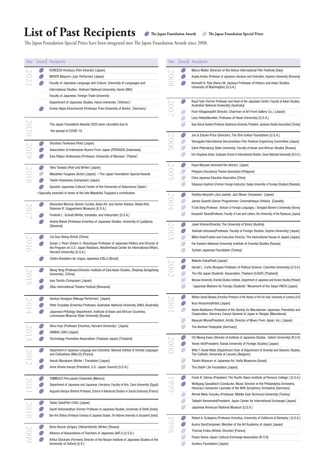### List of Past Recipients  $\bullet$  The Japan Foundation Awards  $\bullet$  The Japan Foundation Special Prizes

The Japan Foundation Special Prizes have been integrated into The Japan Foundation Awards since 2008.

| Year | Award                    | Recipients                                                                                                                                          | Year |           | Award Recipients                                                                                                                                                  |
|------|--------------------------|-----------------------------------------------------------------------------------------------------------------------------------------------------|------|-----------|-------------------------------------------------------------------------------------------------------------------------------------------------------------------|
|      | $\overline{\phantom{a}}$ | KOREEDA Hirokazu (Film Director) [Japan]                                                                                                            |      |           | Marco Müller (Director of the Venice International Film Festival) [Italy]                                                                                         |
|      |                          | MIYATA Mayumi (Sho Performer) [Japan]                                                                                                               |      |           | Angela Hondru (Professor of Japanese Literature and Civilization, Hyperion University) [Romania]                                                                  |
|      |                          | Faculty of Japanese Language and Culture, University of Languages and                                                                               |      |           | Kenneth B. Pyle (Henry M. Jackson Professor of History and Asian Studies,                                                                                         |
|      |                          | International Studies - Vietnam National University, Hanoi (VNU)                                                                                    |      |           | University of Washington) [U.S.A.]                                                                                                                                |
|      |                          | Faculty of Japanese, Foreign Trade University                                                                                                       |      |           |                                                                                                                                                                   |
|      |                          | Department of Japanese Studies, Hanoi University [Vietnam]                                                                                          |      |           | Royal Tyler (Former Professor and Head of the Japanese Centre, Faculty of Asian Studies,                                                                          |
|      |                          | Irmela Hijiya-Kirschnereit (Professor Free University of Berlin) [Germany]                                                                          |      |           | Australian National University) [Australia]                                                                                                                       |
|      |                          |                                                                                                                                                     |      |           | Fram Kitagawa(Art Director, Chairman of Art Front Gallery Co.,) [Japan]                                                                                           |
|      |                          |                                                                                                                                                     |      |           | Levy Hideo(Novelist, Professor of Hosei University) [U.S.A.]                                                                                                      |
|      |                          | The Japan Foundation Awards 2020 were cancelled due to                                                                                              |      |           | Ayse Selcuk Esenbel (Professor, Bosphorus University, President, Japanese Studies Association) [Turkey]                                                           |
|      |                          | the spread of COVID-19.                                                                                                                             |      |           |                                                                                                                                                                   |
|      |                          |                                                                                                                                                     |      |           | Joe & Etsuko Price (Directors, The Shin'enKan Foundation) [U.S.A.]                                                                                                |
|      |                          | Shuntaro Tanikawa (Poet) [Japan]                                                                                                                    |      |           | Yamagata International Documentary Film Festival Organizing Committee [Japan]<br>Saint-Petersburg State University, Faculty of Asian and African Studies [Russia] |
|      |                          | Association of Indonesian Alumni From Japan (PERSADA) [Indonesia]                                                                                   |      |           | Kim Yongdeok (Dean, Graduate School of International Studies, Seoul National University) [R.O.K.]                                                                 |
|      |                          | Ewa Pałasz-Rutkowska (Professor, University of Warsaw) [Poland]                                                                                     |      |           |                                                                                                                                                                   |
|      |                          | Yoko Tawada (Poet and Writer) [Japan]                                                                                                               |      |           | Hayao Miyazaki (Animated film director) [Japan]                                                                                                                   |
|      |                          | Masahiko Tsugawa (Actor) [Japan] *The Japan Foundation Special Awards                                                                               |      |           | Philippine Educational Theater Association [Philippine]                                                                                                           |
|      |                          |                                                                                                                                                     |      | $\subset$ | China Japanese Education Association [China]                                                                                                                      |
|      |                          | Toshio Hosokawa (Composer) [Japan]                                                                                                                  |      |           | Tabassum Kashmiri (Former Foreign Instructor, Osaka University of Foreign Studies) [Pakistan]                                                                     |
|      |                          | Spanish-Japanese Cultural Center of the University of Salamanca [Spain]<br>*Specially awarded in honor of the late Masahiko Tsugawa's contribution. |      |           |                                                                                                                                                                   |
|      |                          |                                                                                                                                                     |      |           | Toshiko Akiyoshi (Jazz pianist, Jazz Music Composer) [Japan]                                                                                                      |
|      |                          | Alexandra Munroe (Senior Curator, Asian Art, and Senior Advisor, Global Arts,                                                                       |      |           | James Quandt (Senior Programmer, Cinematheque Ontario) [Canada]                                                                                                   |
|      |                          | Solomon R. Guggenheim Museum) [U.S.A.]                                                                                                              |      |           | Yi Dok Bong (Professor, Division of Foreign Languages, / Dongduk Women's University) [Korea]                                                                      |
|      |                          | Frederik L. Schodt (Writer, translator, and interpreter) [U.S.A.]                                                                                   |      |           | Kurayoshi Takara(Professor, Faculty of Law and Letters, the University of the Ryukyus) [Japan]                                                                    |
|      |                          | Andrej Bekeš (Professor Emeritus of Japanese Studies, University of Ljubljana)                                                                      |      |           | Josef Kreiner(Director, The University of Bonn) [Austria]                                                                                                         |
|      |                          | [Slovenia]                                                                                                                                          |      |           |                                                                                                                                                                   |
|      |                          | Cai Guo-Qiang (Artist) [China]                                                                                                                      |      |           | Yoshiaki Ishizawa(Professor, Faculty of Foreign Studies, Sophia University) [Japan]                                                                               |
|      |                          | Susan J. Pharr (Edwin O. Reischauer Professor of Japanese Politics and Director of                                                                  |      |           | Mikio Kato(Trustee and Executive Director, The International House of Japan) [Japan]                                                                              |
|      |                          | the Program on U.S.-Japan Relations, Weatherhead Center for International Affairs,                                                                  |      |           | Far Eastern National University Institute of Oriental Studies [Russia]                                                                                            |
|      |                          | Harvard University) [U.S.A.]                                                                                                                        |      |           | Turkish Japanese Foundation [Turkey]                                                                                                                              |
|      |                          | Centro Brasileiro de Língua Japonesa (CBLJ) [Brazil]                                                                                                |      |           | Makoto Ooka(Poet) [Japan]                                                                                                                                         |
|      |                          |                                                                                                                                                     |      |           | Gerald L. Curtis (Burgess Professor of Political Science, Columbia University) [U.S.A.]                                                                           |
|      |                          | Wang Yong (Professor/Director, Institute of East Asian Studies, Zhejiang Gongshang<br>University) [China]                                           |      |           | The Old Japan Students' Association, Thailand (OJSAT) [Thailand]                                                                                                  |
|      |                          | Isao Tomita (Composer) [Japan]                                                                                                                      |      |           | Warsaw University, Oriental Studies Institute, Department of Japanese and Korean Studies [Poland]                                                                 |
|      |                          | Sibiu International Theatre Festival [Romania]                                                                                                      |      |           | "Japanese Mothers for Foreign Students" Movement of the Tokyo YWCA [Japan]                                                                                        |
|      |                          |                                                                                                                                                     |      |           |                                                                                                                                                                   |
|      |                          | Sankyo Yanagiya (Rakugo Performer) [Japan]                                                                                                          |      |           | William Gerald Beasley (Emeritus Professor of the History of the Far East, University of London) [U.K]                                                            |
|      |                          | Peter Drysdale (Emeritus Professor, Australian National University (ANU) [Australia]                                                                |      |           | Ikuo Hirayama(Artist) [Japan]                                                                                                                                     |
|      |                          | Japanese Philology Department, Institute of Asian and African Countries,                                                                            |      |           | Kosta Balabanov (President of the Society for Macedonian-Japanese, Friendship and<br>Cooperation, Honorary Consul-General of Japan in Skopje) [Macedonia]         |
|      |                          | Lomonosov Moscow State University [Russia]                                                                                                          |      |           | Naoyuki Miura(President, Artstic Director of Music From Japan, Inc.) [Japan]                                                                                      |
|      |                          | Akira Iriye (Professor Emeritus, Harvard University) [Japan]                                                                                        |      |           | The Berliner Festspiele [Germany]                                                                                                                                 |
|      |                          | SANKAI JUKU [Japan]                                                                                                                                 |      |           |                                                                                                                                                                   |
|      |                          | Technology Promotion Association (Thailand-Japan) [Thailand]                                                                                        |      |           | Chi Myong Kwan (Director of Institute of Japanese Studies, Hallym University) [R.O.K]                                                                             |
|      |                          |                                                                                                                                                     |      | C         | Yoneo Ishi(President, Kanda University of Foreign Studies) [Japan]                                                                                                |
|      |                          | Department of Japanese Language and Civilization, National Institute of Oriental Languages                                                          |      |           | Willy F. Vande Walle (Department Chair of Department of Oriental and Slavonic Studies,                                                                            |
|      |                          | and Civilizations (INALCO) [France]                                                                                                                 |      |           | The Catholic University of Leuven) [Belgium]                                                                                                                      |
|      |                          | Haruki Murakami (Writer / Translator) [Japan]                                                                                                       |      |           | Tikotin Museum of Japanese Art, Haifa Museums [Israel]                                                                                                            |
|      |                          | Irene Hirano Inouye (President, U.S.-Japan Council) [U.S.A.]                                                                                        |      |           | The Daidō Life Foundation [Japan]                                                                                                                                 |
|      |                          |                                                                                                                                                     |      |           | Frank B. Gibney (President, The Pacific Basin Institute at Pomona College) [U.S.A.]                                                                               |
|      |                          | <b>TAMBUCO Percussion Ensemble [Mexico]</b><br>Department of Japanese and Japanese Literature, Faculty of Arts, Cairo University [Egypt]            |      |           | Wolfgang Sawallisch (Conductor, Music Director of the Philadelphia Orchestra,                                                                                     |
|      |                          |                                                                                                                                                     |      |           | Honorary Conductor Laureate of the NHK Symphony Orchestra) [Germany]                                                                                              |
|      |                          | Augustin Berque (Retired Professor, School of Advanced Studies in Social Sciences) [France]                                                         |      |           | Ahmet Mete Tunçoku (Professor, Middle East Technical University) [Turkey]                                                                                         |
|      |                          | Tadao Sato(Film Critic) [Japan]                                                                                                                     |      |           | Tadashi Yamamoto(President, Japan Center for International Exchange) [Japan]                                                                                      |
|      |                          | Savitri Vishwanathan (Former Professor of Japanese Studies, University of Dehli) [India]                                                            |      |           | Japanese American National Museum [U.S.A.]                                                                                                                        |
|      |                          | Ben-Ami Shillony (Professor Emeritus of Japanese Studies, The Hebrew University of Jerusalem) [Israel]                                              |      |           |                                                                                                                                                                   |
|      |                          |                                                                                                                                                     |      | C         | Robert A. Scalapino (Professor Emeritus, University of California at Berkeley) [U.S.A.]                                                                           |
|      |                          | Boris Akunin (Grigory Chkhartishvili) (Writer) [Russia]                                                                                             |      |           | Ikuma Dan(Composer, Member of the Art Academy of Japan) [Japan]                                                                                                   |
|      |                          | Alliance of Associations of Teachers of Japanese (AATJ) [U.S.A.]                                                                                    |      |           | Thomas Erdos (Artistic Director) [France]                                                                                                                         |
|      |                          |                                                                                                                                                     |      |           | Pusan Korea-Japan Cultural Exchange Association [R.O.K]                                                                                                           |
|      |                          | Arthur Stockwin (Formerly Director of the Nissan Institute of Japanese Studies at the                                                               |      |           |                                                                                                                                                                   |